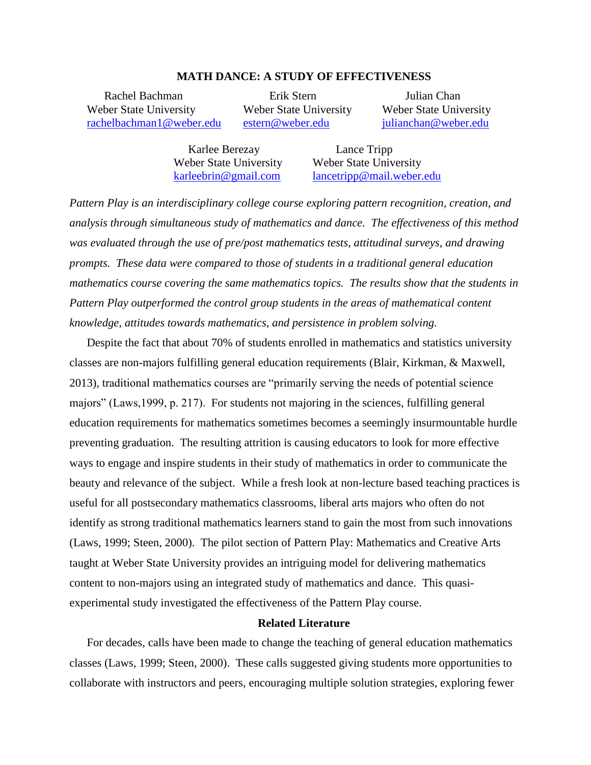## **MATH DANCE: A STUDY OF EFFECTIVENESS**

Weber State University Weber State University Weber State University [rachelbachman1@weber.edu](mailto:rachelbachman1@weber.edu) [estern@weber.edu](mailto:estern@weber.edu) [julianchan@weber.edu](mailto:julianchan@weber.edu)

Rachel Bachman Erik Stern Julian Chan

Karlee Berezay Lance Tripp

Weber State University Weber State University [karleebrin@gmail.com](mailto:karleebrin@gmail.com) [lancetripp@mail.weber.edu](mailto:lancetripp@mail.weber.edu)

*Pattern Play is an interdisciplinary college course exploring pattern recognition, creation, and analysis through simultaneous study of mathematics and dance. The effectiveness of this method was evaluated through the use of pre/post mathematics tests, attitudinal surveys, and drawing prompts. These data were compared to those of students in a traditional general education mathematics course covering the same mathematics topics. The results show that the students in Pattern Play outperformed the control group students in the areas of mathematical content knowledge, attitudes towards mathematics, and persistence in problem solving.*

Despite the fact that about 70% of students enrolled in mathematics and statistics university classes are non-majors fulfilling general education requirements (Blair, Kirkman, & Maxwell, 2013), traditional mathematics courses are "primarily serving the needs of potential science majors" (Laws,1999, p. 217). For students not majoring in the sciences, fulfilling general education requirements for mathematics sometimes becomes a seemingly insurmountable hurdle preventing graduation. The resulting attrition is causing educators to look for more effective ways to engage and inspire students in their study of mathematics in order to communicate the beauty and relevance of the subject. While a fresh look at non-lecture based teaching practices is useful for all postsecondary mathematics classrooms, liberal arts majors who often do not identify as strong traditional mathematics learners stand to gain the most from such innovations (Laws, 1999; Steen, 2000). The pilot section of Pattern Play: Mathematics and Creative Arts taught at Weber State University provides an intriguing model for delivering mathematics content to non-majors using an integrated study of mathematics and dance. This quasiexperimental study investigated the effectiveness of the Pattern Play course.

# **Related Literature**

For decades, calls have been made to change the teaching of general education mathematics classes (Laws, 1999; Steen, 2000). These calls suggested giving students more opportunities to collaborate with instructors and peers, encouraging multiple solution strategies, exploring fewer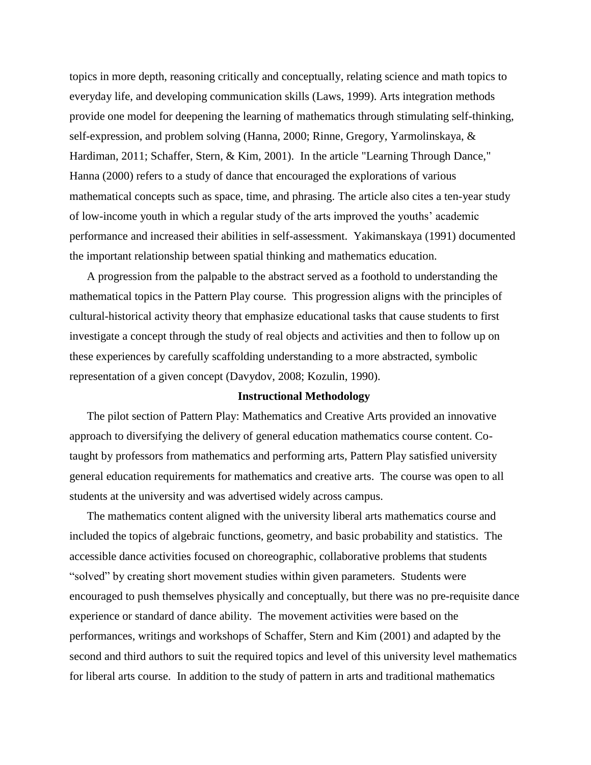topics in more depth, reasoning critically and conceptually, relating science and math topics to everyday life, and developing communication skills (Laws, 1999). Arts integration methods provide one model for deepening the learning of mathematics through stimulating self-thinking, self-expression, and problem solving (Hanna, 2000; Rinne, Gregory, Yarmolinskaya, & Hardiman, 2011; Schaffer, Stern, & Kim, 2001). In the article "Learning Through Dance," Hanna (2000) refers to a study of dance that encouraged the explorations of various mathematical concepts such as space, time, and phrasing. The article also cites a ten-year study of low-income youth in which a regular study of the arts improved the youths' academic performance and increased their abilities in self-assessment. Yakimanskaya (1991) documented the important relationship between spatial thinking and mathematics education.

A progression from the palpable to the abstract served as a foothold to understanding the mathematical topics in the Pattern Play course. This progression aligns with the principles of cultural-historical activity theory that emphasize educational tasks that cause students to first investigate a concept through the study of real objects and activities and then to follow up on these experiences by carefully scaffolding understanding to a more abstracted, symbolic representation of a given concept (Davydov, 2008; Kozulin, 1990).

### **Instructional Methodology**

The pilot section of Pattern Play: Mathematics and Creative Arts provided an innovative approach to diversifying the delivery of general education mathematics course content. Cotaught by professors from mathematics and performing arts, Pattern Play satisfied university general education requirements for mathematics and creative arts. The course was open to all students at the university and was advertised widely across campus.

The mathematics content aligned with the university liberal arts mathematics course and included the topics of algebraic functions, geometry, and basic probability and statistics. The accessible dance activities focused on choreographic, collaborative problems that students "solved" by creating short movement studies within given parameters. Students were encouraged to push themselves physically and conceptually, but there was no pre-requisite dance experience or standard of dance ability. The movement activities were based on the performances, writings and workshops of Schaffer, Stern and Kim (2001) and adapted by the second and third authors to suit the required topics and level of this university level mathematics for liberal arts course. In addition to the study of pattern in arts and traditional mathematics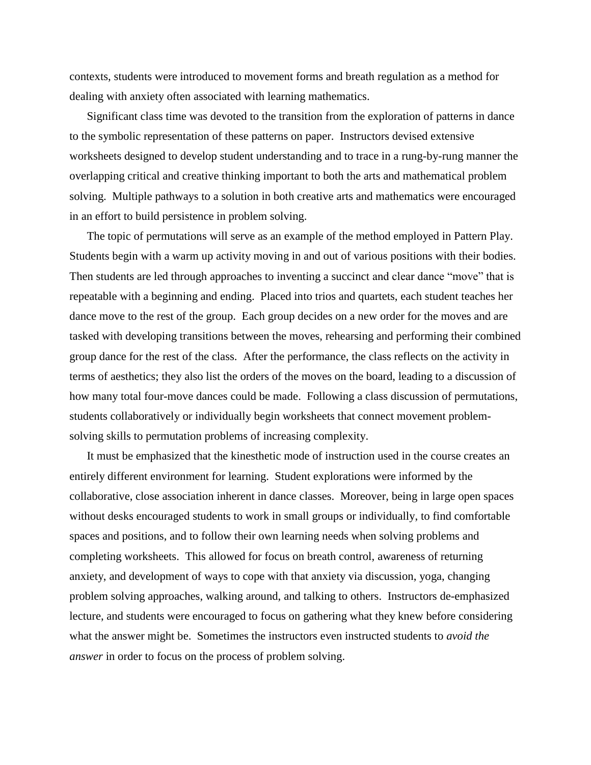contexts, students were introduced to movement forms and breath regulation as a method for dealing with anxiety often associated with learning mathematics.

Significant class time was devoted to the transition from the exploration of patterns in dance to the symbolic representation of these patterns on paper. Instructors devised extensive worksheets designed to develop student understanding and to trace in a rung-by-rung manner the overlapping critical and creative thinking important to both the arts and mathematical problem solving. Multiple pathways to a solution in both creative arts and mathematics were encouraged in an effort to build persistence in problem solving.

The topic of permutations will serve as an example of the method employed in Pattern Play. Students begin with a warm up activity moving in and out of various positions with their bodies. Then students are led through approaches to inventing a succinct and clear dance "move" that is repeatable with a beginning and ending. Placed into trios and quartets, each student teaches her dance move to the rest of the group. Each group decides on a new order for the moves and are tasked with developing transitions between the moves, rehearsing and performing their combined group dance for the rest of the class. After the performance, the class reflects on the activity in terms of aesthetics; they also list the orders of the moves on the board, leading to a discussion of how many total four-move dances could be made. Following a class discussion of permutations, students collaboratively or individually begin worksheets that connect movement problemsolving skills to permutation problems of increasing complexity.

It must be emphasized that the kinesthetic mode of instruction used in the course creates an entirely different environment for learning. Student explorations were informed by the collaborative, close association inherent in dance classes. Moreover, being in large open spaces without desks encouraged students to work in small groups or individually, to find comfortable spaces and positions, and to follow their own learning needs when solving problems and completing worksheets. This allowed for focus on breath control, awareness of returning anxiety, and development of ways to cope with that anxiety via discussion, yoga, changing problem solving approaches, walking around, and talking to others. Instructors de-emphasized lecture, and students were encouraged to focus on gathering what they knew before considering what the answer might be. Sometimes the instructors even instructed students to *avoid the answer* in order to focus on the process of problem solving.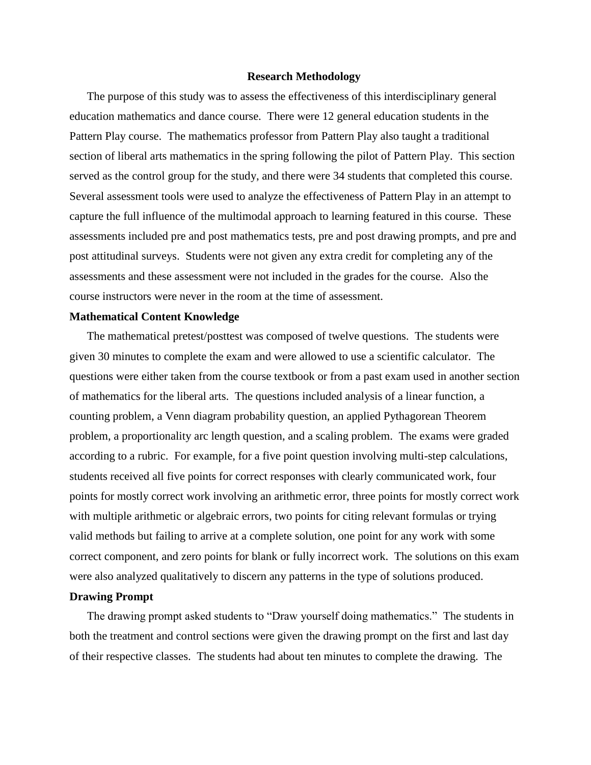### **Research Methodology**

The purpose of this study was to assess the effectiveness of this interdisciplinary general education mathematics and dance course. There were 12 general education students in the Pattern Play course. The mathematics professor from Pattern Play also taught a traditional section of liberal arts mathematics in the spring following the pilot of Pattern Play. This section served as the control group for the study, and there were 34 students that completed this course. Several assessment tools were used to analyze the effectiveness of Pattern Play in an attempt to capture the full influence of the multimodal approach to learning featured in this course. These assessments included pre and post mathematics tests, pre and post drawing prompts, and pre and post attitudinal surveys. Students were not given any extra credit for completing any of the assessments and these assessment were not included in the grades for the course. Also the course instructors were never in the room at the time of assessment.

## **Mathematical Content Knowledge**

The mathematical pretest/posttest was composed of twelve questions. The students were given 30 minutes to complete the exam and were allowed to use a scientific calculator. The questions were either taken from the course textbook or from a past exam used in another section of mathematics for the liberal arts. The questions included analysis of a linear function, a counting problem, a Venn diagram probability question, an applied Pythagorean Theorem problem, a proportionality arc length question, and a scaling problem. The exams were graded according to a rubric. For example, for a five point question involving multi-step calculations, students received all five points for correct responses with clearly communicated work, four points for mostly correct work involving an arithmetic error, three points for mostly correct work with multiple arithmetic or algebraic errors, two points for citing relevant formulas or trying valid methods but failing to arrive at a complete solution, one point for any work with some correct component, and zero points for blank or fully incorrect work. The solutions on this exam were also analyzed qualitatively to discern any patterns in the type of solutions produced.

# **Drawing Prompt**

The drawing prompt asked students to "Draw yourself doing mathematics." The students in both the treatment and control sections were given the drawing prompt on the first and last day of their respective classes. The students had about ten minutes to complete the drawing. The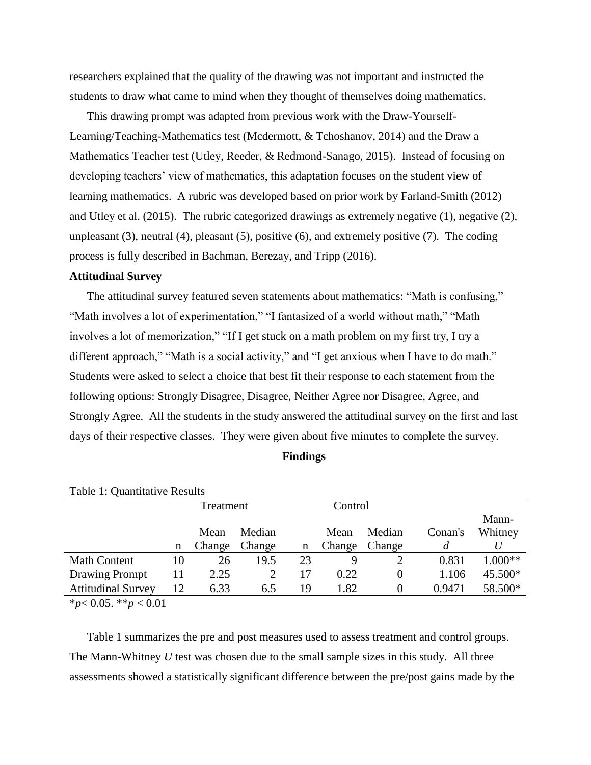researchers explained that the quality of the drawing was not important and instructed the students to draw what came to mind when they thought of themselves doing mathematics.

This drawing prompt was adapted from previous work with the Draw-Yourself-Learning/Teaching-Mathematics test (Mcdermott, & Tchoshanov, 2014) and the Draw a Mathematics Teacher test (Utley, Reeder, & Redmond-Sanago, 2015). Instead of focusing on developing teachers' view of mathematics, this adaptation focuses on the student view of learning mathematics. A rubric was developed based on prior work by Farland-Smith (2012) and Utley et al. (2015). The rubric categorized drawings as extremely negative (1), negative (2), unpleasant (3), neutral (4), pleasant (5), positive (6), and extremely positive (7). The coding process is fully described in Bachman, Berezay, and Tripp (2016).

# **Attitudinal Survey**

The attitudinal survey featured seven statements about mathematics: "Math is confusing," "Math involves a lot of experimentation," "I fantasized of a world without math," "Math involves a lot of memorization," "If I get stuck on a math problem on my first try, I try a different approach," "Math is a social activity," and "I get anxious when I have to do math." Students were asked to select a choice that best fit their response to each statement from the following options: Strongly Disagree, Disagree, Neither Agree nor Disagree, Agree, and Strongly Agree. All the students in the study answered the attitudinal survey on the first and last days of their respective classes. They were given about five minutes to complete the survey.

| ш<br>п | mng<br>T. |  |
|--------|-----------|--|
|        |           |  |

| Table 1. Qualititative Results                                                                                                                                                                                                                                                                                      |    |           |        |    |         |          |         |           |  |  |  |
|---------------------------------------------------------------------------------------------------------------------------------------------------------------------------------------------------------------------------------------------------------------------------------------------------------------------|----|-----------|--------|----|---------|----------|---------|-----------|--|--|--|
|                                                                                                                                                                                                                                                                                                                     |    | Treatment |        |    | Control |          |         |           |  |  |  |
|                                                                                                                                                                                                                                                                                                                     |    |           |        |    |         |          |         | Mann-     |  |  |  |
|                                                                                                                                                                                                                                                                                                                     |    | Mean      | Median |    | Mean    | Median   | Conan's | Whitney   |  |  |  |
|                                                                                                                                                                                                                                                                                                                     | n  | Change    | Change | n  | Change  | Change   | d       |           |  |  |  |
| <b>Math Content</b>                                                                                                                                                                                                                                                                                                 | 10 | 26        | 19.5   | 23 |         |          | 0.831   | $1.000**$ |  |  |  |
| Drawing Prompt                                                                                                                                                                                                                                                                                                      | 11 | 2.25      |        | 17 | 0.22    | $\theta$ | 1.106   | 45.500*   |  |  |  |
| <b>Attitudinal Survey</b>                                                                                                                                                                                                                                                                                           | 12 | 6.33      | 6.5    | 19 | 1.82    | 0        | 0.9471  | 58.500*   |  |  |  |
| $\frac{1}{2}$ $\frac{1}{2}$ $\frac{1}{2}$ $\frac{1}{2}$ $\frac{1}{2}$ $\frac{1}{2}$ $\frac{1}{2}$ $\frac{1}{2}$ $\frac{1}{2}$ $\frac{1}{2}$ $\frac{1}{2}$ $\frac{1}{2}$ $\frac{1}{2}$ $\frac{1}{2}$ $\frac{1}{2}$ $\frac{1}{2}$ $\frac{1}{2}$ $\frac{1}{2}$ $\frac{1}{2}$ $\frac{1}{2}$ $\frac{1}{2}$ $\frac{1}{2}$ |    |           |        |    |         |          |         |           |  |  |  |

Table 1: Quantitative Results

\**p*< 0.05. \*\**p* < 0.01

Table 1 summarizes the pre and post measures used to assess treatment and control groups. The Mann-Whitney *U* test was chosen due to the small sample sizes in this study. All three assessments showed a statistically significant difference between the pre/post gains made by the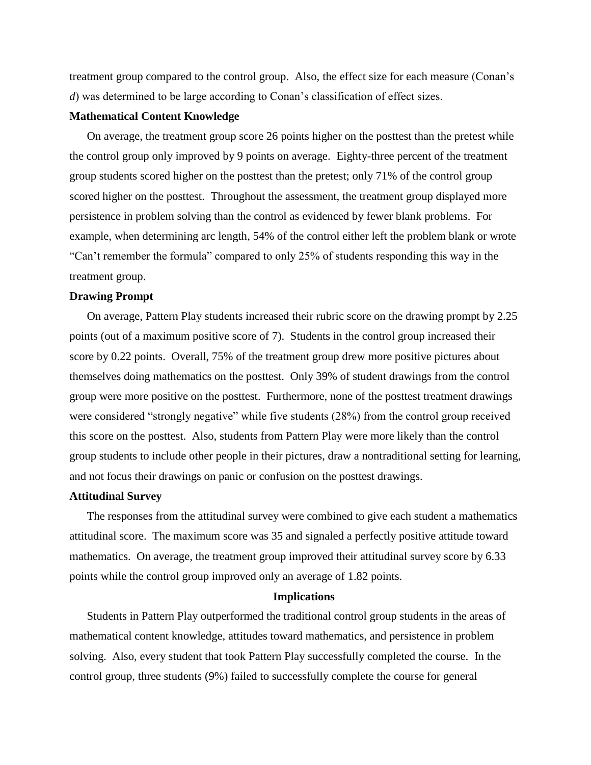treatment group compared to the control group. Also, the effect size for each measure (Conan's *d*) was determined to be large according to Conan's classification of effect sizes.

## **Mathematical Content Knowledge**

On average, the treatment group score 26 points higher on the posttest than the pretest while the control group only improved by 9 points on average. Eighty-three percent of the treatment group students scored higher on the posttest than the pretest; only 71% of the control group scored higher on the posttest. Throughout the assessment, the treatment group displayed more persistence in problem solving than the control as evidenced by fewer blank problems. For example, when determining arc length, 54% of the control either left the problem blank or wrote "Can't remember the formula" compared to only 25% of students responding this way in the treatment group.

#### **Drawing Prompt**

On average, Pattern Play students increased their rubric score on the drawing prompt by 2.25 points (out of a maximum positive score of 7). Students in the control group increased their score by 0.22 points. Overall, 75% of the treatment group drew more positive pictures about themselves doing mathematics on the posttest. Only 39% of student drawings from the control group were more positive on the posttest. Furthermore, none of the posttest treatment drawings were considered "strongly negative" while five students (28%) from the control group received this score on the posttest. Also, students from Pattern Play were more likely than the control group students to include other people in their pictures, draw a nontraditional setting for learning, and not focus their drawings on panic or confusion on the posttest drawings.

## **Attitudinal Survey**

The responses from the attitudinal survey were combined to give each student a mathematics attitudinal score. The maximum score was 35 and signaled a perfectly positive attitude toward mathematics. On average, the treatment group improved their attitudinal survey score by 6.33 points while the control group improved only an average of 1.82 points.

# **Implications**

Students in Pattern Play outperformed the traditional control group students in the areas of mathematical content knowledge, attitudes toward mathematics, and persistence in problem solving. Also, every student that took Pattern Play successfully completed the course. In the control group, three students (9%) failed to successfully complete the course for general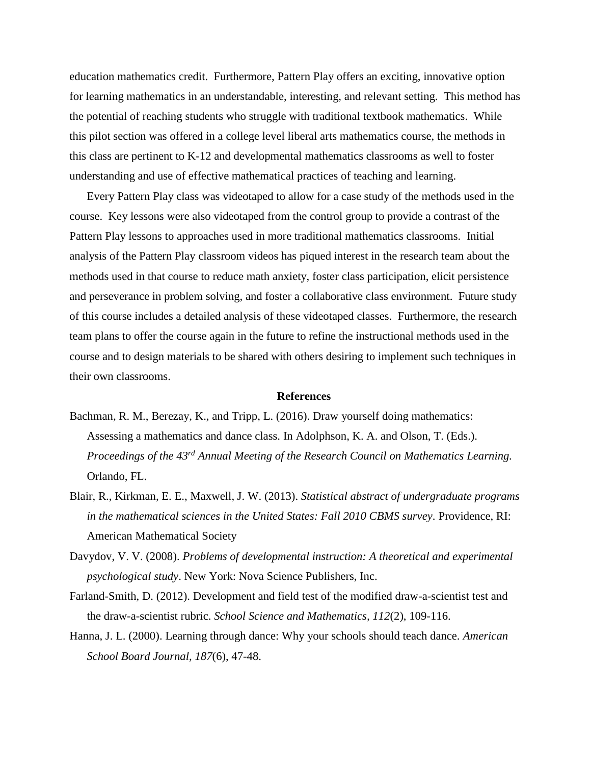education mathematics credit. Furthermore, Pattern Play offers an exciting, innovative option for learning mathematics in an understandable, interesting, and relevant setting. This method has the potential of reaching students who struggle with traditional textbook mathematics. While this pilot section was offered in a college level liberal arts mathematics course, the methods in this class are pertinent to K-12 and developmental mathematics classrooms as well to foster understanding and use of effective mathematical practices of teaching and learning.

Every Pattern Play class was videotaped to allow for a case study of the methods used in the course. Key lessons were also videotaped from the control group to provide a contrast of the Pattern Play lessons to approaches used in more traditional mathematics classrooms. Initial analysis of the Pattern Play classroom videos has piqued interest in the research team about the methods used in that course to reduce math anxiety, foster class participation, elicit persistence and perseverance in problem solving, and foster a collaborative class environment. Future study of this course includes a detailed analysis of these videotaped classes. Furthermore, the research team plans to offer the course again in the future to refine the instructional methods used in the course and to design materials to be shared with others desiring to implement such techniques in their own classrooms.

#### **References**

- Bachman, R. M., Berezay, K., and Tripp, L. (2016). Draw yourself doing mathematics: Assessing a mathematics and dance class. In Adolphson, K. A. and Olson, T. (Eds.). *Proceedings of the 43rd Annual Meeting of the Research Council on Mathematics Learning.*  Orlando, FL.
- Blair, R., Kirkman, E. E., Maxwell, J. W. (2013). *Statistical abstract of undergraduate programs in the mathematical sciences in the United States: Fall 2010 CBMS survey*. Providence, RI: American Mathematical Society
- Davydov, V. V. (2008). *Problems of developmental instruction: A theoretical and experimental psychological study*. New York: Nova Science Publishers, Inc.
- Farland-Smith, D. (2012). Development and field test of the modified draw-a-scientist test and the draw-a-scientist rubric. *School Science and Mathematics, 112*(2), 109-116.
- Hanna, J. L. (2000). Learning through dance: Why your schools should teach dance. *American School Board Journal, 187*(6), 47-48.